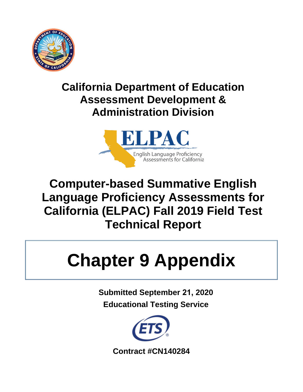

# **California Department of Education Assessment Development & Administration Division**



# **Computer-based Summative English Language Proficiency Assessments for California (ELPAC) Fall 2019 Field Test Technical Report**

# **Chapter 9 Appendix**

**Submitted September 21, 2020 Educational Testing Service** 



**Contract #CN140284**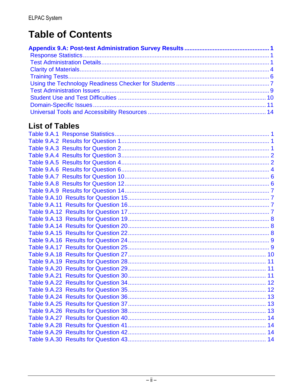# **Table of Contents**

# **List of Tables**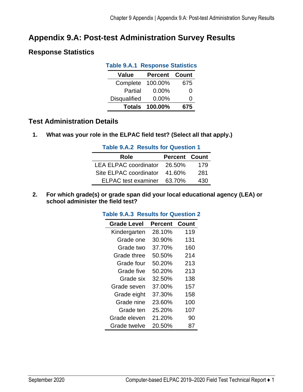# <span id="page-4-0"></span>**Appendix 9.A: Post-test Administration Survey Results**

# <span id="page-4-3"></span><span id="page-4-1"></span>**Response Statistics**

| <b>Table 9.A.1 Response Statistics</b> |                       |     |  |  |
|----------------------------------------|-----------------------|-----|--|--|
| Value                                  | <b>Percent Count</b>  |     |  |  |
| Complete                               | 100.00%               | 675 |  |  |
| Partial                                | 0.00%                 | O   |  |  |
| <b>Disqualified</b>                    | 0.00%                 | O   |  |  |
|                                        | <b>Totals 100.00%</b> | 675 |  |  |

# <span id="page-4-2"></span>**Test Administration Details**

<span id="page-4-4"></span>**1. What was your role in the ELPAC field test? (Select all that apply.)** 

| <b>Table 9.A.2 Results for Question 1</b> |                      |     |  |  |  |
|-------------------------------------------|----------------------|-----|--|--|--|
| Role                                      | <b>Percent Count</b> |     |  |  |  |
| LEA ELPAC coordinator 26.50%              |                      | 179 |  |  |  |
| Site ELPAC coordinator 41.60%             |                      | 281 |  |  |  |
| ELPAC test examiner 63.70%                |                      | 430 |  |  |  |

- 
- <span id="page-4-5"></span>**2. For which grade(s) or grade span did your local educational agency (LEA) or school administer the field test?**

|  |  | <b>Table 9.A.3 Results for Question 2</b> |
|--|--|-------------------------------------------|
|--|--|-------------------------------------------|

| <b>Grade Level</b> | <b>Percent Count</b> |     |
|--------------------|----------------------|-----|
| Kindergarten       | 28.10%               | 119 |
| Grade one          | 30.90%               | 131 |
| Grade two          | 37.70%               | 160 |
| Grade three        | 50.50%               | 214 |
| Grade four         | 50.20%               | 213 |
| Grade five         | 50.20%               | 213 |
| Grade six          | 32.50%               | 138 |
| Grade seven        | 37.00%               | 157 |
| Grade eight        | 37.30%               | 158 |
| Grade nine         | 23.60%               | 100 |
| Grade ten          | 25.20%               | 107 |
| Grade eleven       | 21.20%               | 90  |
| Grade twelve       | 20.50%               | 87  |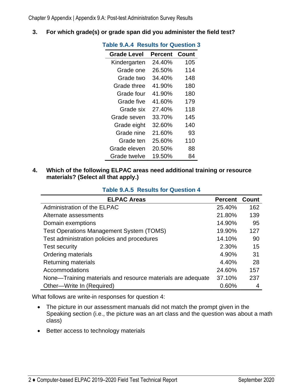<span id="page-5-0"></span>**3. For which grade(s) or grade span did you administer the field test?** 

| <b>Table 9.A.4 Results for Question 3</b> |         |       |  |  |  |
|-------------------------------------------|---------|-------|--|--|--|
| <b>Grade Level</b>                        | Percent | Count |  |  |  |
| Kindergarten                              | 24.40%  | 105   |  |  |  |
| Grade one                                 | 26.50%  | 114   |  |  |  |
| Grade two                                 | 34.40%  | 148   |  |  |  |
| Grade three                               | 41.90%  | 180   |  |  |  |
| Grade four                                | 41.90%  | 180   |  |  |  |
| Grade five                                | 41.60%  | 179   |  |  |  |
| Grade six                                 | 27.40%  | 118   |  |  |  |
| Grade seven                               | 33.70%  | 145   |  |  |  |
| Grade eight                               | 32.60%  | 140   |  |  |  |
| Grade nine                                | 21.60%  | 93    |  |  |  |
| Grade ten                                 | 25.60%  | 110   |  |  |  |
| Grade eleven                              | 20.50%  | 88    |  |  |  |
| Grade twelve                              | 19.50%  | 84    |  |  |  |

**4. Which of the following ELPAC areas need additional training or resource materials? (Select all that apply.)** 

<span id="page-5-1"></span>

| <b>ELPAC Areas</b>                                          | <b>Percent</b> | Count |
|-------------------------------------------------------------|----------------|-------|
| Administration of the ELPAC                                 | 25.40%         | 162   |
| Alternate assessments                                       | 21.80%         | 139   |
| Domain exemptions                                           | 14.90%         | 95    |
| <b>Test Operations Management System (TOMS)</b>             | 19.90%         | 127   |
| Test administration policies and procedures                 | 14.10%         | 90    |
| <b>Test security</b>                                        | 2.30%          | 15    |
| <b>Ordering materials</b>                                   | 4.90%          | 31    |
| Returning materials                                         | 4.40%          | 28    |
| Accommodations                                              | 24.60%         | 157   |
| None-Training materials and resource materials are adequate | 37.10%         | 237   |
| Other-Write In (Required)                                   | 0.60%          | 4     |

#### **Table 9.A.5 Results for Question 4**

What follows are write-in responses for question 4:

- The picture in our assessment manuals did not match the prompt given in the Speaking section (i.e., the picture was an art class and the question was about a math class)
- Better access to technology materials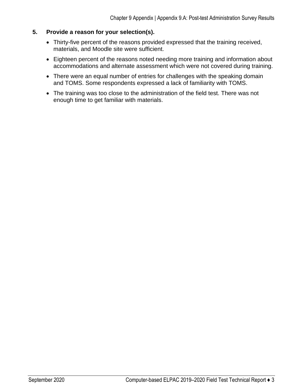#### **5. Provide a reason for your selection(s).**

- Thirty-five percent of the reasons provided expressed that the training received, materials, and Moodle site were sufficient.
- Eighteen percent of the reasons noted needing more training and information about accommodations and alternate assessment which were not covered during training.
- There were an equal number of entries for challenges with the speaking domain and TOMS. Some respondents expressed a lack of familiarity with TOMS.
- The training was too close to the administration of the field test. There was not enough time to get familiar with materials.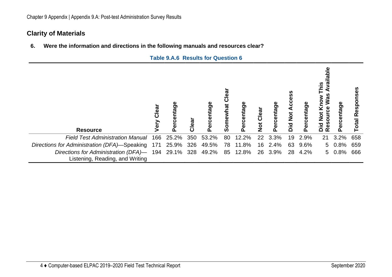# **Clarity of Materials**

**6. Were the information and directions in the following manuals and resources clear?** 

<span id="page-7-1"></span><span id="page-7-0"></span>

| <b>Resource</b>                                                                             | Clear | Percentage          | Clear | Percentage | ල<br>ල<br>ថ្ន<br>Somewl | Percentage | Not Clear         | ercentage | ⋖<br>$\overline{\textbf{b}}$<br>bid | Percentage | $\frac{6}{5}$<br><u>iq</u><br>Was<br>₹<br><b>Kno</b><br>Resource<br>ŏ<br>Did<br>Di | Percentage | Responses<br>otal |
|---------------------------------------------------------------------------------------------|-------|---------------------|-------|------------|-------------------------|------------|-------------------|-----------|-------------------------------------|------------|------------------------------------------------------------------------------------|------------|-------------------|
| <b>Field Test Administration Manual</b>                                                     | 166   | 25.2%               | 350   | 53.2%      | 80                      | 12.2%      | $22 \overline{ }$ | 3.3%      | 19                                  | 2.9%       | 21                                                                                 | 3.2%       | 658               |
| Directions for Administration (DFA)-Speaking                                                |       | 171 25.9% 326 49.5% |       |            |                         | 78 11.8%   |                   | 16 2.4%   |                                     | 63 9.6%    | 5                                                                                  | $0.8\%$    | 659               |
| Directions for Administration (DFA)- 194 29.1% 328 49.2%<br>Listening, Reading, and Writing |       |                     |       |            |                         | 85 12.8%   |                   | 26 3.9%   | 28                                  | 4.2%       |                                                                                    | 5 0.8%     | 666               |

#### **Table 9.A.6 Results for Question 6**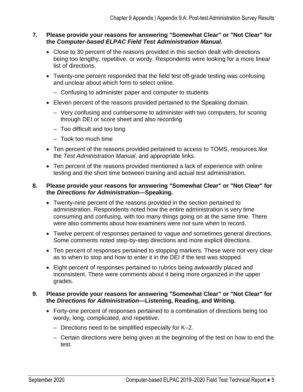#### **7. Please provide your reasons for answering "Somewhat Clear" or "Not Clear" for the** *Computer-based ELPAC Field Test Administration Manual***.**

- Close to 30 percent of the reasons provided in this section dealt with directions being too lengthy, repetitive, or wordy. Respondents were looking for a more linear list of directions.
- Twenty-one percent responded that the field test off-grade testing was confusing and unclear about which form to select online.
	- Confusing to administer paper and computer to students
- Eleven percent of the reasons provided pertained to the Speaking domain.
	- Very confusing and cumbersome to administer with two computers, for scoring through DEI or score sheet and also recording
	- Too difficult and too long
	- Took too much time
- Ten percent of the reasons provided pertained to access to TOMS, resources like the *Test Administration Manual*, and appropriate links.
- Ten percent of the reasons provided mentioned a lack of experience with online testing and the short time between training and actual test administration.

#### **8. Please provide your reasons for answering "Somewhat Clear" or "Not Clear" for the** *Directions for Administration***—Speaking.**

- Twenty-nine percent of the reasons provided in the section pertained to administration. Respondents noted how the entire administration is very time consuming and confusing, with too many things going on at the same time. There were also comments about how examiners were not sure when to record.
- Twelve percent of responses pertained to vague and sometimes general directions. Some comments noted step-by-step directions and more explicit directions.
- Ten percent of responses pertained to stopping markers. These were not very clear as to when to stop and how to enter it in the DEI if the test was stopped.
- Eight percent of responses pertained to rubrics being awkwardly placed and inconsistent. There were comments about it being more organized in the upper grades.

#### **9. Please provide your reasons for answering "Somewhat Clear" or "Not Clear" for the** *Directions for Administration***—Listening, Reading, and Writing.**

- Forty-one percent of responses pertained to a combination of directions being too wordy, long, complicated, and repetitive.
	- Directions need to be simplified especially for K–2.
	- Certain directions were being given at the beginning of the test on how to end the test.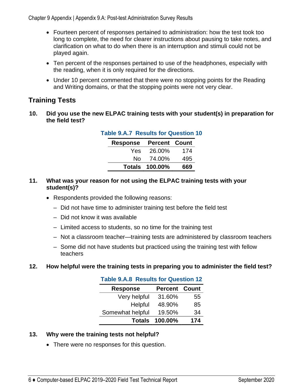Chapter 9 Appendix | Appendix 9.A: Post-test Administration Survey Results

- Fourteen percent of responses pertained to administration: how the test took too long to complete, the need for clearer instructions about pausing to take notes, and clarification on what to do when there is an interruption and stimuli could not be played again.
- Ten percent of the responses pertained to use of the headphones, especially with the reading, when it is only required for the directions.
- Under 10 percent commented that there were no stopping points for the Reading and Writing domains, or that the stopping points were not very clear.

# <span id="page-9-0"></span>**Training Tests**

<span id="page-9-1"></span>**10. Did you use the new ELPAC training tests with your student(s) in preparation for the field test?** 

| <b>Table 9.A.7 Results for Question 10</b> |                               |                       |     |  |  |  |
|--------------------------------------------|-------------------------------|-----------------------|-----|--|--|--|
|                                            | <b>Response Percent Count</b> |                       |     |  |  |  |
|                                            | Yes.                          | 26.00%                | 174 |  |  |  |
|                                            | No.                           | 74.00%                | 495 |  |  |  |
|                                            |                               | <b>Totals 100.00%</b> | 669 |  |  |  |

#### **11. What was your reason for not using the ELPAC training tests with your student(s)?**

- Respondents provided the following reasons:
	- Did not have time to administer training test before the field test
	- Did not know it was available
	- Limited access to students, so no time for the training test
	- Not a classroom teacher—training tests are administered by classroom teachers
	- Some did not have students but practiced using the training test with fellow teachers

#### <span id="page-9-2"></span>**12. How helpful were the training tests in preparing you to administer the field test?**

| <b>Table 9.A.8 Results for Question 12</b> |                      |     |  |  |
|--------------------------------------------|----------------------|-----|--|--|
| <b>Response</b>                            | <b>Percent Count</b> |     |  |  |
| Very helpful                               | 31.60%               | 55  |  |  |
| Helpful                                    | 48.90%               | 85  |  |  |
| Somewhat helpful                           | 19.50%               | 34  |  |  |
| <b>Totals</b>                              | 100.00%              | 174 |  |  |

#### **13. Why were the training tests not helpful?**

• There were no responses for this question.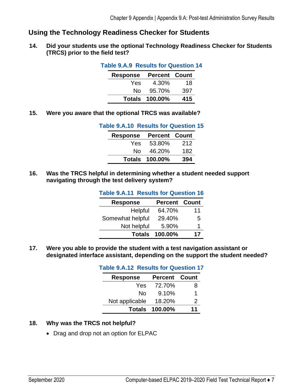# <span id="page-10-0"></span>**Using the Technology Readiness Checker for Students**

<span id="page-10-1"></span>**14. Did your students use the optional Technology Readiness Checker for Students (TRCS) prior to the field test?** 

| <b>Table 9.A.9 Results for Question 14</b> |                       |     |  |
|--------------------------------------------|-----------------------|-----|--|
| <b>Response Percent Count</b>              |                       |     |  |
| Yes                                        | 4.30%                 | 18  |  |
| N٥                                         | 95.70%                | 397 |  |
|                                            | <b>Totals 100.00%</b> | 415 |  |

<span id="page-10-2"></span>**15. Were you aware that the optional TRCS was available?** 

#### **Table 9.A.10 Results for Question 15**

| <b>Response</b> | <b>Percent Count</b>  |     |
|-----------------|-----------------------|-----|
| Yes.            | 53.80%                | 212 |
| No.             | 46.20%                | 182 |
|                 | <b>Totals 100.00%</b> | 394 |

<span id="page-10-3"></span>**16. Was the TRCS helpful in determining whether a student needed support navigating through the test delivery system?** 

| <b>Table 9.A.11 Results for Question 16</b> |                       |    |  |  |  |  |
|---------------------------------------------|-----------------------|----|--|--|--|--|
| <b>Response</b>                             | <b>Percent Count</b>  |    |  |  |  |  |
| Helpful                                     | 64.70%                | 11 |  |  |  |  |
| Somewhat helpful                            | 29.40%                | 5  |  |  |  |  |
| Not helpful                                 | 5.90%                 | 1  |  |  |  |  |
|                                             | <b>Totals 100.00%</b> | 17 |  |  |  |  |

<span id="page-10-4"></span>**17. Were you able to provide the student with a test navigation assistant or designated interface assistant, depending on the support the student needed?** 

| <b>Table 9.A.12 Results for Question 17</b> |                       |    |  |  |  |  |
|---------------------------------------------|-----------------------|----|--|--|--|--|
| <b>Response</b>                             | <b>Percent Count</b>  |    |  |  |  |  |
| Yes                                         | 72.70%                | 8  |  |  |  |  |
| N٥                                          | 9.10%                 | 1  |  |  |  |  |
| Not applicable                              | 18.20%                | 2  |  |  |  |  |
|                                             | <b>Totals 100.00%</b> | 11 |  |  |  |  |

#### **18. Why was the TRCS not helpful?**

• Drag and drop not an option for ELPAC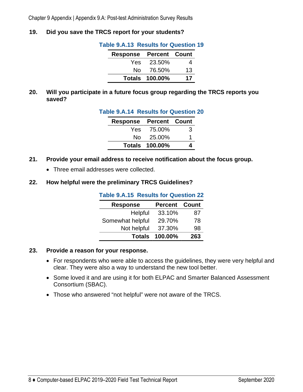#### <span id="page-11-0"></span>**19. Did you save the TRCS report for your students?**

| Table 9.A.13 Results for Question 19 |  |  |
|--------------------------------------|--|--|
|--------------------------------------|--|--|

| <b>Response</b> | <b>Percent Count</b>  |    |
|-----------------|-----------------------|----|
| Yes.            | - 23.50%              | 4  |
| N∩⊹             | 76.50%                | 13 |
|                 | <b>Totals 100.00%</b> | 17 |

<span id="page-11-1"></span>**20. Will you participate in a future focus group regarding the TRCS reports you saved?** 

| <b>Table 9.A.14 Results for Question 20</b> |                       |   |  |
|---------------------------------------------|-----------------------|---|--|
| <b>Response Percent Count</b>               |                       |   |  |
|                                             | Yes 75.00%            | 3 |  |
|                                             | No 25.00%             | 1 |  |
|                                             | <b>Totals 100.00%</b> |   |  |

- **21. Provide your email address to receive notification about the focus group.** 
	- Three email addresses were collected.

#### <span id="page-11-2"></span>**22. How helpful were the preliminary TRCS Guidelines?**

**Table 9.A.15 Results for Question 22** 

| <b>Response</b>  | <b>Percent Count</b> |     |
|------------------|----------------------|-----|
| Helpful          | 33.10%               | 87  |
| Somewhat helpful | 29.70%               | 78  |
| Not helpful      | 37.30%               | 98  |
| <b>Totals</b>    | 100.00%              | 263 |

#### **23. Provide a reason for your response.**

- For respondents who were able to access the guidelines, they were very helpful and clear. They were also a way to understand the new tool better.
- Some loved it and are using it for both ELPAC and Smarter Balanced Assessment Consortium (SBAC).
- Those who answered "not helpful" were not aware of the TRCS.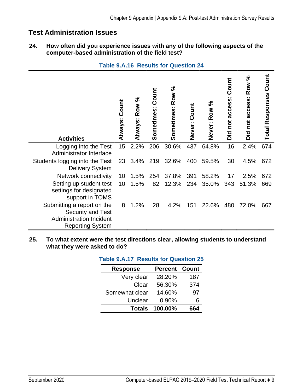# <span id="page-12-0"></span>**Test Administration Issues**

#### **24. How often did you experience issues with any of the following aspects of the computer-based administration of the field test?**

<span id="page-12-1"></span>

| <b>Activities</b>                                                                                            | Count<br><b>Always:</b> | Row %<br><b>Always:</b> | Count<br>Sometimes: | Sometimes: Row % | Count<br>Never: | Never: Row % | Count<br>Did not access: | Row %<br>$\sim$<br>Did not access | Count<br><b>Total Responses</b> |
|--------------------------------------------------------------------------------------------------------------|-------------------------|-------------------------|---------------------|------------------|-----------------|--------------|--------------------------|-----------------------------------|---------------------------------|
| Logging into the Test<br>Administrator Interface                                                             | 15                      | 2.2%                    | 206                 | 30.6%            | 437             | 64.8%        | 16                       | 2.4%                              | 674                             |
| Students logging into the Test<br><b>Delivery System</b>                                                     | 23                      | 3.4%                    | 219                 | 32.6%            | 400             | 59.5%        | 30                       | 4.5%                              | 672                             |
| Network connectivity                                                                                         | 10                      | 1.5%                    | 254                 | 37.8%            | 391             | 58.2%        | 17                       | 2.5%                              | 672                             |
| Setting up student test<br>settings for designated<br>support in TOMS                                        | 10                      | 1.5%                    | 82                  | 12.3%            | 234             | 35.0%        | 343                      | 51.3%                             | 669                             |
| Submitting a report on the<br>Security and Test<br><b>Administration Incident</b><br><b>Reporting System</b> | 8                       | 1.2%                    | 28                  | 4.2%             | 151             | 22.6%        | 480                      | 72.0%                             | 667                             |

#### **Table 9.A.16 Results for Question 24**

<span id="page-12-2"></span>**25. To what extent were the test directions clear, allowing students to understand what they were asked to do?** 

| ו נורדוש טושטו<br>TROUGHO TOT QUOOLIVITED |                       |     |  |  |  |  |
|-------------------------------------------|-----------------------|-----|--|--|--|--|
| <b>Response</b>                           | <b>Percent Count</b>  |     |  |  |  |  |
| Very clear                                | 28.20%                | 187 |  |  |  |  |
| Clear                                     | 56.30%                | 374 |  |  |  |  |
| Somewhat clear                            | 14.60%                | 97  |  |  |  |  |
| Unclear                                   | 0.90%                 | 6   |  |  |  |  |
|                                           | <b>Totals 100.00%</b> | 664 |  |  |  |  |

# **Table 9.A.17 Results for Question 25**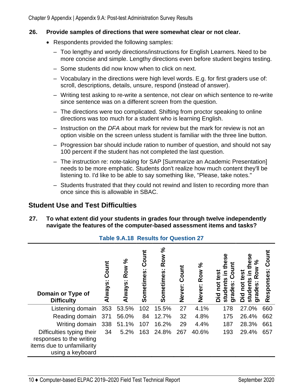#### **26. Provide samples of directions that were somewhat clear or not clear.**

- Respondents provided the following samples:
	- Too lengthy and wordy directions/instructions for English Learners. Need to be more concise and simple. Lengthy directions even before student begins testing.
	- Some students did now know when to click on next.
	- Vocabulary in the directions were high level words. E.g. for first graders use of: scroll, descriptions, details, unsure, respond (instead of answer).
	- Writing test asking to re-write a sentence, not clear on which sentence to re-write since sentence was on a different screen from the question.
	- The directions were too complicated. Shifting from proctor speaking to online directions was too much for a student who is learning English.
	- Instruction on the *DFA* about mark for review but the mark for review is not an option visible on the screen unless student is familiar with the three line button.
	- Progression bar should include ration to number of question, and should not say 100 percent if the student has not completed the last question.
	- The instruction re: note-taking for SAP [Summarize an Academic Presentation] needs to be more emphatic. Students don't realize how much content they'll be listening to. I'd like to be able to say something like, "Please, take notes."
	- Students frustrated that they could not rewind and listen to recording more than once since this is allowable in SBAC.

# <span id="page-13-0"></span>**Student Use and Test Difficulties**

**27. To what extent did your students in grades four through twelve independently navigate the features of the computer-based assessment items and tasks?** 

<span id="page-13-1"></span>

| Domain or Type of<br><b>Difficulty</b>                 | Count<br><b>Always:</b> | వ<br><b>Row</b><br><b>Always:</b> | Count<br>Sometimes: | వ<br><b>Row</b><br>$\bullet$ .<br>Sometimes | Count<br>Never: | $\approx$<br><b>Row</b><br>Never: | O<br>ē<br>rades<br>σ<br>О<br>ಕ<br>6<br>∩<br>ත | న్<br><b>ROW</b><br>udeni<br>grades<br>ō<br><u>흐</u><br><u>ಕ್</u> | Count<br>Responses: |
|--------------------------------------------------------|-------------------------|-----------------------------------|---------------------|---------------------------------------------|-----------------|-----------------------------------|-----------------------------------------------|-------------------------------------------------------------------|---------------------|
| Listening domain                                       | 353                     | 53.5%                             | 102                 | 15.5%                                       | 27              | 4.1%                              | 178                                           | 27.0%                                                             | 660                 |
| Reading domain 371                                     |                         | 56.0%                             | 84                  | 12.7%                                       | 32              | 4.8%                              | 175                                           | 26.4%                                                             | 662                 |
| Writing domain                                         | 338                     | 51.1%                             | 107                 | 16.2%                                       | 29              | 4.4%                              | 187                                           | 28.3%                                                             | 661                 |
| Difficulties typing their                              | 34                      | 5.2%                              | 163                 | 24.8%                                       | 267             | 40.6%                             | 193                                           | 29.4%                                                             | 657                 |
| responses to the writing<br>items due to unfamiliarity |                         |                                   |                     |                                             |                 |                                   |                                               |                                                                   |                     |
| using a keyboard                                       |                         |                                   |                     |                                             |                 |                                   |                                               |                                                                   |                     |

#### **Table 9.A.18 Results for Question 27**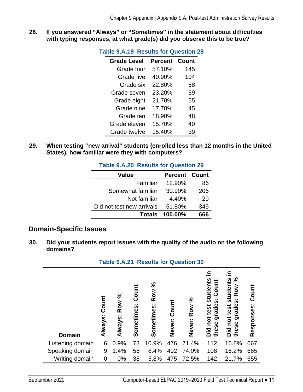<span id="page-14-1"></span>**28. If you answered "Always" or "Sometimes" in the statement about difficulties with typing responses, at what grade(s) did you observe this to be true?** 

| <b>Table 9.A.19 Results for Question 28</b> |                |       |  |
|---------------------------------------------|----------------|-------|--|
| <b>Grade Level</b>                          | <b>Percent</b> | Count |  |
| Grade four                                  | 57.10%         | 145   |  |
| Grade five                                  | 40.90%         | 104   |  |
| Grade six                                   | 22.80%         | 58    |  |
| Grade seven                                 | 23.20%         | 59    |  |
| Grade eight                                 | 21.70%         | 55    |  |
| Grade nine                                  | 17.70%         | 45    |  |
| Grade ten                                   | 18.90%         | 48    |  |
| Grade eleven                                | 15.70%         | 40    |  |
| Grade twelve                                | 15.40%         | 39    |  |

<span id="page-14-2"></span>**29. When testing "new arrival" students (enrolled less than 12 months in the United States), how familiar were they with computers?** 

| <b>Table 9.A.20 Results for Question 29</b> |                       |     |
|---------------------------------------------|-----------------------|-----|
| <b>Value</b>                                | <b>Percent Count</b>  |     |
| Familiar                                    | 12.90%                | 86  |
| Somewhat familiar                           | 30.90%                | 206 |
| Not familiar                                | 4.40%                 | 29  |
| Did not test new arrivals                   | 51.80%                | 345 |
|                                             | <b>Totals 100.00%</b> | հհհ |

# <span id="page-14-0"></span>**Domain-Specific Issues**

**30. Did your students report issues with the quality of the audio on the following domains?** 

<span id="page-14-3"></span>

| <b>Table 9.A.21 Results for Question 30</b> |                                   |                         |                           |                                             |                 |                    |                                                                           |                                                                                    |                     |
|---------------------------------------------|-----------------------------------|-------------------------|---------------------------|---------------------------------------------|-----------------|--------------------|---------------------------------------------------------------------------|------------------------------------------------------------------------------------|---------------------|
| <b>Domain</b>                               | Count<br>$\blacksquare$<br>Always | Row %<br><b>Always:</b> | Count<br>. .<br>Sometimes | Row %<br>$\blacksquare$<br><b>Sometimes</b> | Count<br>Never: | వ<br>Row<br>Never: | students<br>Count<br>ູ່ທ່<br>rade<br>test<br>g<br>not<br>these<br>id<br>Ö | న<br>students<br>Row<br>.,<br><b>SO</b><br>test<br>rade<br>Did not 1<br>ත<br>these | Count<br>Responses: |
| Listening domain                            | 6                                 | 0.9%                    | 73                        | 10.9%                                       | 476             | 71.4%              | 112                                                                       | 16.8%                                                                              | 667                 |
| Speaking domain                             | 9                                 | 1.4%                    | 56                        | 8.4%                                        | 492             | 74.0%              | 108                                                                       | 16.2%                                                                              | 665                 |
| Writing domain                              | 0                                 | 0%                      | 38                        | 5.8%                                        | 475             | 72.5%              | 142                                                                       | 21.7%                                                                              | 655                 |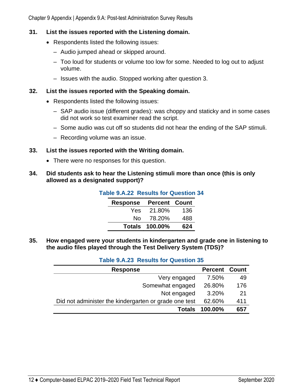Chapter 9 Appendix | Appendix 9.A: Post-test Administration Survey Results

#### **31. List the issues reported with the Listening domain.**

- Respondents listed the following issues:
	- Audio jumped ahead or skipped around.
	- Too loud for students or volume too low for some. Needed to log out to adjust volume.
	- Issues with the audio. Stopped working after question 3.

#### **32. List the issues reported with the Speaking domain.**

- Respondents listed the following issues:
	- SAP audio issue (different grades): was choppy and staticky and in some cases did not work so test examiner read the script.
	- Some audio was cut off so students did not hear the ending of the SAP stimuli.
	- Recording volume was an issue.

#### **33. List the issues reported with the Writing domain.**

• There were no responses for this question.

#### <span id="page-15-0"></span>**34. Did students ask to hear the Listening stimuli more than once (this is only allowed as a designated support)?**

| <b>Response</b> | <b>Percent Count</b>  |     |
|-----------------|-----------------------|-----|
| Yes             | 21.80%                | 136 |
| N٥              | 78.20%                | 488 |
|                 | <b>Totals 100.00%</b> | 624 |

**Table 9.A.22 Results for Question 34** 

<span id="page-15-1"></span>**35. How engaged were your students in kindergarten and grade one in listening to the audio files played through the Test Delivery System (TDS)?** 

#### **Table 9.A.23 Results for Question 35**

| <b>Response</b>                                       | <b>Percent Count</b> |     |
|-------------------------------------------------------|----------------------|-----|
| Very engaged                                          | 7.50%                | 49  |
| Somewhat engaged                                      | 26.80%               | 176 |
| Not engaged                                           | 3.20%                | 21  |
| Did not administer the kindergarten or grade one test | 62.60%               | 411 |
| <b>Totals</b>                                         | 100.00%              | 657 |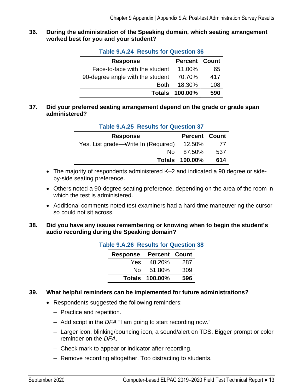#### <span id="page-16-0"></span>**36. During the administration of the Speaking domain, which seating arrangement worked best for you and your student?**

| <b>Response</b>                  | <b>Percent Count</b>  |     |
|----------------------------------|-----------------------|-----|
| Face-to-face with the student    | 11.00%                | 65  |
| 90-degree angle with the student | 70.70%                | 417 |
| <b>Both</b>                      | 18.30%                | 108 |
|                                  | <b>Totals 100.00%</b> | 590 |

#### **Table 9.A.24 Results for Question 36**

#### <span id="page-16-1"></span>**37. Did your preferred seating arrangement depend on the grade or grade span administered?**

| 1900                                |                       |     |
|-------------------------------------|-----------------------|-----|
| <b>Response</b>                     | <b>Percent Count</b>  |     |
| Yes. List grade—Write In (Required) | 12.50%                | 77  |
| No.                                 | 87.50%                | 537 |
|                                     | <b>Totals 100.00%</b> | 614 |

#### **Table 9.A.25 Results for Question 37**

- The majority of respondents administered K–2 and indicated a 90 degree or sideby-side seating preference.
- Others noted a 90-degree seating preference, depending on the area of the room in which the test is administered.
- Additional comments noted test examiners had a hard time maneuvering the cursor so could not sit across.

#### <span id="page-16-2"></span>**38. Did you have any issues remembering or knowing when to begin the student's audio recording during the Speaking domain?**

| <b>Table 9.A.26 Results for Question 38</b> |                               |                       |     |  |
|---------------------------------------------|-------------------------------|-----------------------|-----|--|
|                                             | <b>Response Percent Count</b> |                       |     |  |
|                                             |                               | Yes 48.20%            | 287 |  |
|                                             | No.                           | 51.80%                | 309 |  |
|                                             |                               | <b>Totals 100.00%</b> | 596 |  |

#### **39. What helpful reminders can be implemented for future administrations?**

- Respondents suggested the following reminders:
	- Practice and repetition.
	- Add script in the *DFA* "I am going to start recording now."
	- Larger icon, blinking/bouncing icon, a sound/alert on TDS. Bigger prompt or color reminder on the *DFA*.
	- Check mark to appear or indicator after recording.
	- Remove recording altogether. Too distracting to students.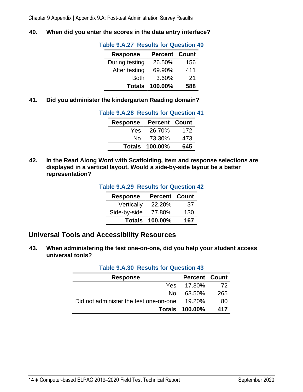<span id="page-17-1"></span>**40. When did you enter the scores in the data entry interface?** 

| <b>Response</b> | <b>Percent Count</b> |     |  |
|-----------------|----------------------|-----|--|
| During testing  | 26.50%               | 156 |  |
| After testing   | 69.90%               | 411 |  |
| Both            | 3.60%                | 21  |  |
| <b>Totals</b>   | 100.00%              | 588 |  |

#### **Table 9.A.27 Results for Question 40**

<span id="page-17-2"></span>**41. Did you administer the kindergarten Reading domain?** 

| <b>Table 9.A.28 Results for Question 41</b> |                               |                       |     |
|---------------------------------------------|-------------------------------|-----------------------|-----|
|                                             | <b>Response Percent Count</b> |                       |     |
|                                             |                               | Yes 26.70% 172        |     |
|                                             |                               | No 73.30%             | 473 |
|                                             |                               | <b>Totals 100.00%</b> | 645 |

<span id="page-17-3"></span>**42. In the Read Along Word with Scaffolding, item and response selections are displayed in a vertical layout. Would a side-by-side layout be a better representation?** 

#### **Table 9.A.29 Results for Question 42**

| <b>Response</b> | <b>Percent Count</b>  |     |
|-----------------|-----------------------|-----|
| Vertically      | 22.20%                | 37  |
| Side-by-side    | 77.80%                | 130 |
|                 | <b>Totals 100.00%</b> | 167 |

## <span id="page-17-0"></span>**Universal Tools and Accessibility Resources**

<span id="page-17-4"></span>**43. When administering the test one-on-one, did you help your student access universal tools?** 

| <b>Table 9.A.30 Results for Question 43</b> |                       |     |
|---------------------------------------------|-----------------------|-----|
| <b>Response</b>                             | <b>Percent Count</b>  |     |
| Yes.                                        | 17.30%                | 72  |
| N٥                                          | 63.50%                | 265 |
| Did not administer the test one-on-one      | 19.20%                | 80  |
|                                             | <b>Totals 100.00%</b> | 417 |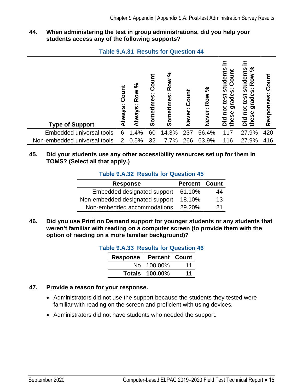**44. When administering the test in group administrations, did you help your students access any of the following supports?** 

|  | <b>Table 9.A.31 Results for Question 44</b> |
|--|---------------------------------------------|
|--|---------------------------------------------|

<span id="page-18-0"></span>

| <b>Type of Support</b>       | Count<br>Always | న<br>ð<br>œ<br>n<br>Alway | 5<br>ت<br>. .<br>89<br>Someti | న<br>Row<br>Sometimes: | Coun<br><b>Never</b> | న<br>Row<br><br><b>Never</b> | udei<br>ပိ<br>もの<br>. .<br><b>S</b><br>grade<br>test<br>pot<br>these<br>bid | న్<br>udents<br>⋧<br>Ö<br>ě<br>뮶<br>$\cdots$<br><b>S</b><br>ade<br>test<br>ត<br>not<br>these<br>bid | ō<br>. .<br>Responses |
|------------------------------|-----------------|---------------------------|-------------------------------|------------------------|----------------------|------------------------------|-----------------------------------------------------------------------------|-----------------------------------------------------------------------------------------------------|-----------------------|
| Embedded universal tools     | 6               | 1.4%                      | 60                            | 14.3%                  | 237                  | 56.4%                        | 117                                                                         | 27.9%                                                                                               | 420                   |
| Non-embedded universal tools | 2               | 0.5%                      | 32                            | 7.7%                   | 266                  | 63.9%                        | 116                                                                         | 27.9%                                                                                               | 416                   |

#### <span id="page-18-1"></span>**45. Did your students use any other accessibility resources set up for them in TOMS? (Select all that apply.)**

#### **Table 9.A.32 Results for Question 45**

| <b>Response</b>                 | <b>Percent Count</b> |    |
|---------------------------------|----------------------|----|
| Embedded designated support     | 61.10%               | 44 |
| Non-embedded designated support | 18.10%               | 13 |
| Non-embedded accommodations     | 29.20%               | 21 |

<span id="page-18-2"></span>**46. Did you use Print on Demand support for younger students or any students that weren't familiar with reading on a computer screen (to provide them with the option of reading on a more familiar background)?** 

#### **Table 9.A.33 Results for Question 46**

| <b>Response</b> | <b>Percent Count</b>  |    |
|-----------------|-----------------------|----|
|                 | No 100,00%            | 11 |
|                 | <b>Totals 100.00%</b> | 11 |

#### **47. Provide a reason for your response.**

- Administrators did not use the support because the students they tested were familiar with reading on the screen and proficient with using devices.
- Administrators did not have students who needed the support.